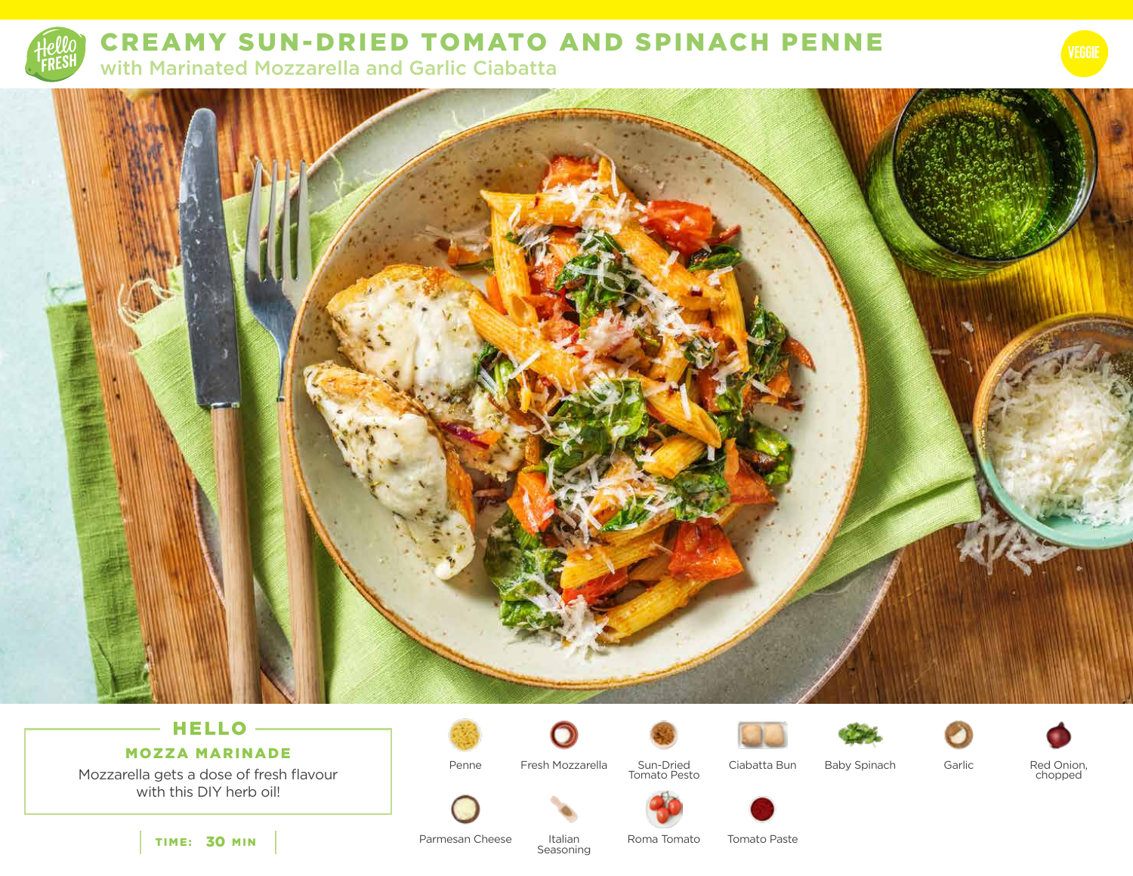

CREAMY SUN-DRIED TOMATO AND SPINACH PENNE

with Marinated Mozzarella and Garlic Ciabatta



# HELLO -

MOZZA MARINADE

Mozzarella gets a dose of fresh flavour with this DIY herb oil!

Penne



Italian

Fresh Mozzarella Sun-Dried Ciabatta Bun Sun-Dried Tomato Pesto













Baby Spinach Garlic

Red Onion,<br>chopped



Parmesan Cheese Seasoning Roma Tomato

Tomato Paste